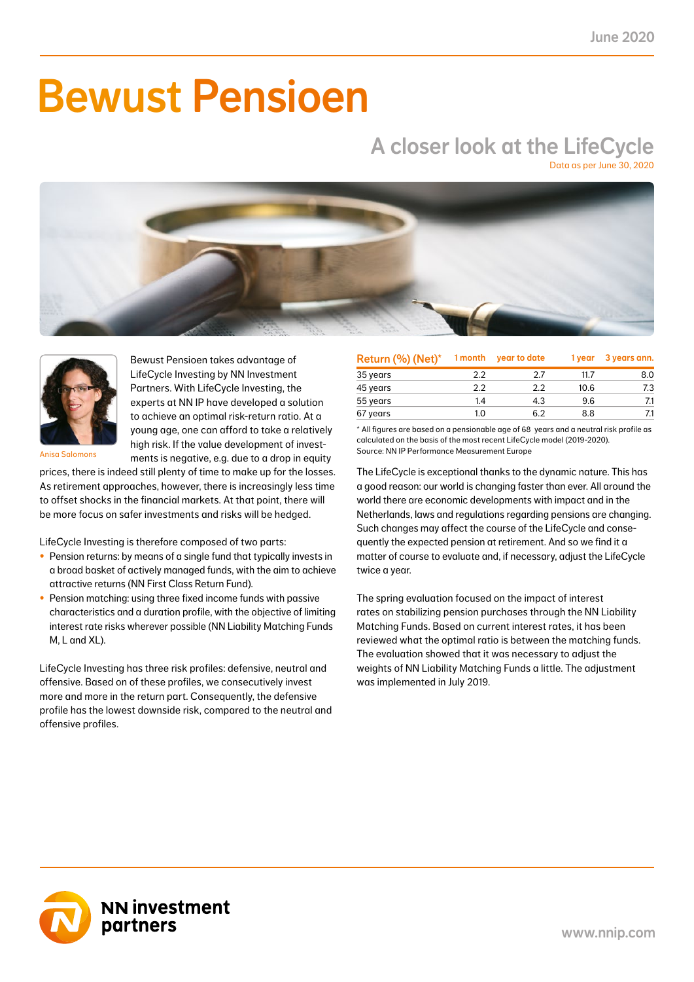# Bewust Pensioen

## A closer look at the LifeCycle

Data as per June 30, 2020





Bewust Pensioen takes advantage of LifeCycle Investing by NN Investment Partners. With LifeCycle Investing, the experts at NN IP have developed a solution to achieve an optimal risk-return ratio. At a young age, one can afford to take a relatively high risk. If the value development of investments is negative, e.g. due to a drop in equity

Anisa Salomons

prices, there is indeed still plenty of time to make up for the losses. As retirement approaches, however, there is increasingly less time to offset shocks in the financial markets. At that point, there will be more focus on safer investments and risks will be hedged.

LifeCycle Investing is therefore composed of two parts:

- Pension returns: by means of a single fund that typically invests in a broad basket of actively managed funds, with the aim to achieve attractive returns (NN First Class Return Fund).
- Pension matching: using three fixed income funds with passive characteristics and a duration profile, with the objective of limiting interest rate risks wherever possible (NN Liability Matching Funds M, L and XL).

LifeCycle Investing has three risk profiles: defensive, neutral and offensive. Based on of these profiles, we consecutively invest more and more in the return part. Consequently, the defensive profile has the lowest downside risk, compared to the neutral and offensive profiles.

| Return (%) (Net)* | 1 month | year to date | 1 year | 3 years ann. |
|-------------------|---------|--------------|--------|--------------|
| 35 years          | 2.2     | 27           | 11.7   | 8.0          |
| 45 years          | 2.2     | 2.2          | 10.6   | 7.3          |
| 55 years          | 1.4     | 4.3          | 9.6    |              |
| 67 years          | 1.0     | 62           | 8.8    |              |

\* All figures are based on a pensionable age of 68 years and a neutral risk profile as calculated on the basis of the most recent LifeCycle model (2019-2020). Source: NN IP Performance Measurement Europe

The LifeCycle is exceptional thanks to the dynamic nature. This has a good reason: our world is changing faster than ever. All around the world there are economic developments with impact and in the Netherlands, laws and regulations regarding pensions are changing. Such changes may affect the course of the LifeCycle and consequently the expected pension at retirement. And so we find it a matter of course to evaluate and, if necessary, adjust the LifeCycle twice a year.

The spring evaluation focused on the impact of interest rates on stabilizing pension purchases through the NN Liability Matching Funds. Based on current interest rates, it has been reviewed what the optimal ratio is between the matching funds. The evaluation showed that it was necessary to adjust the weights of NN Liability Matching Funds a little. The adjustment was implemented in July 2019.

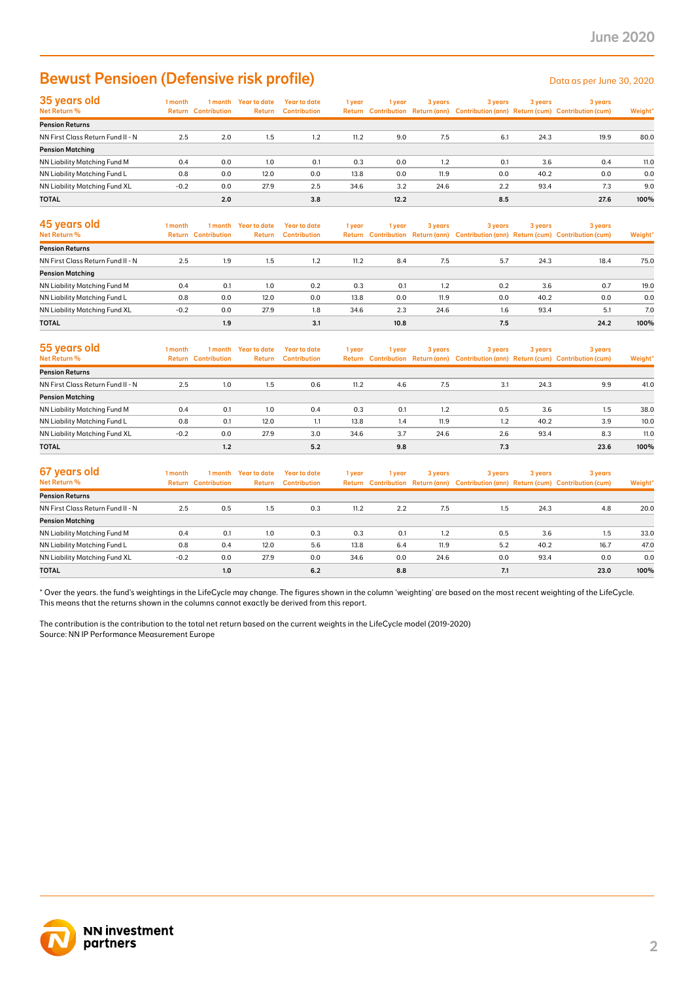### Bewust Pensioen (Defensive risk profile) Determined a per June 30, 2020

| 35 years old                         | 1 month |                            | I month Year to date | Year to date        | 1 year | l year | 3 years | 3 years | 3 years | 3 years                                                                             |         |
|--------------------------------------|---------|----------------------------|----------------------|---------------------|--------|--------|---------|---------|---------|-------------------------------------------------------------------------------------|---------|
| Net Return %                         |         | <b>Return Contribution</b> | <b>Return</b>        | <b>Contribution</b> |        |        |         |         |         | Return Contribution Return (ann) Contribution (ann) Return (cum) Contribution (cum) | Weight* |
| <b>Pension Returns</b>               |         |                            |                      |                     |        |        |         |         |         |                                                                                     |         |
| NN First Class Return Fund II - N    | 2.5     | 2.0                        | 1.5                  | 1.2                 | 11.2   | 9.0    | 7.5     | 6.1     | 24.3    | 19.9                                                                                | 80.0    |
| <b>Pension Matching</b>              |         |                            |                      |                     |        |        |         |         |         |                                                                                     |         |
| <b>NN Liability Matching Fund M</b>  | 0.4     | 0.0                        | 1.0                  | 0.1                 | 0.3    | 0.0    | 1.2     | 0.1     | 3.6     | 0.4                                                                                 | 11.0    |
| NN Liability Matching Fund L         | 0.8     | 0.0                        | 12.0                 | 0.0                 | 13.8   | 0.0    | 11.9    | 0.0     | 40.2    | 0.0                                                                                 | 0.0     |
| <b>NN Liability Matching Fund XL</b> | $-0.2$  | 0.0                        | 27.9                 | 2.5                 | 34.6   | 3.2    | 24.6    | 2.2     | 93.4    | 7.3                                                                                 | 9.0     |
| <b>TOTAL</b>                         |         | 2.0                        |                      | 3.8                 |        | 12.2   |         | 8.5     |         | 27.6                                                                                | 100%    |

| 45 years old<br>Net Return %      | 1 month | 1 month<br><b>Return Contribution</b> | Year to date<br><b>Return</b> | Year to date<br><b>Contribution</b> | 1 year | 1 vear | 3 years | 3 years | 3 years | 3 years<br>Return Contribution Return (ann) Contribution (ann) Return (cum) Contribution (cum) | Weight* |
|-----------------------------------|---------|---------------------------------------|-------------------------------|-------------------------------------|--------|--------|---------|---------|---------|------------------------------------------------------------------------------------------------|---------|
| <b>Pension Returns</b>            |         |                                       |                               |                                     |        |        |         |         |         |                                                                                                |         |
| NN First Class Return Fund II - N | 2.5     | 1.9                                   | 1.5                           | 1.2                                 | 11.2   | 8.4    | 7.5     | 5.7     | 24.3    | 18.4                                                                                           | 75.0    |
| <b>Pension Matching</b>           |         |                                       |                               |                                     |        |        |         |         |         |                                                                                                |         |
| NN Liability Matching Fund M      | 0.4     | 0.1                                   | 1.0                           | 0.2                                 | 0.3    | 0.1    | 1.2     | 0.2     | 3.6     | 0.7                                                                                            | 19.0    |
| NN Liability Matching Fund L      | 0.8     | 0.0                                   | 12.0                          | 0.0                                 | 13.8   | 0.0    | 11.9    | 0.0     | 40.2    | 0.0                                                                                            | 0.0     |
| NN Liability Matching Fund XL     | $-0.2$  | 0.0                                   | 27.9                          | 1.8                                 | 34.6   | 2.3    | 24.6    | 1.6     | 93.4    | 5.1                                                                                            | 7.0     |
| <b>TOTAL</b>                      |         | 1.9                                   |                               | 3.1                                 |        | 10.8   |         | 7.5     |         | 24.2                                                                                           | 100%    |

| 55 years old<br><b>Net Return %</b> | l month<br>Return | 1 month<br><b>Contribution</b> | Year to date<br><b>Return</b> | <b>Year to date</b><br><b>Contribution</b> | 1 year | 1 vear | 3 years | 3 years | 3 years | 3 years<br>Return Contribution Return (ann) Contribution (ann) Return (cum) Contribution (cum) | Weight* |
|-------------------------------------|-------------------|--------------------------------|-------------------------------|--------------------------------------------|--------|--------|---------|---------|---------|------------------------------------------------------------------------------------------------|---------|
| <b>Pension Returns</b>              |                   |                                |                               |                                            |        |        |         |         |         |                                                                                                |         |
| NN First Class Return Fund II - N   | 2.5               | 1.0                            | 1.5                           | 0.6                                        | 11.2   | 4.6    | 7.5     | 3.1     | 24.3    | 9.9                                                                                            | 41.0    |
| <b>Pension Matching</b>             |                   |                                |                               |                                            |        |        |         |         |         |                                                                                                |         |
| NN Liability Matching Fund M        | 0.4               | 0.1                            | 1.0                           | 0.4                                        | 0.3    | 0.1    | 1.2     | 0.5     | 3.6     | 1.5                                                                                            | 38.0    |
| NN Liability Matching Fund L        | 0.8               | 0.1                            | 12.0                          | 1.1                                        | 13.8   | 1.4    | 11.9    | 1.2     | 40.2    | 3.9                                                                                            | 10.0    |
| NN Liability Matching Fund XL       | $-0.2$            | 0.0                            | 27.9                          | 3.0                                        | 34.6   | 3.7    | 24.6    | 2.6     | 93.4    | 8.3                                                                                            | 11.0    |
| <b>TOTAL</b>                        |                   | 1.2                            |                               | 5.2                                        |        | 9.8    |         | 7.3     |         | 23.6                                                                                           | 100%    |

| 67 years old<br>Net Return %      | l month<br>Return | 1 month<br><b>Contribution</b> | Year to date<br>Return | Year to date<br><b>Contribution</b> | 1 year | 1 vear | 3 years | 3 years | 3 years | 3 years<br>Return Contribution Return (ann) Contribution (ann) Return (cum) Contribution (cum) | Weight* |
|-----------------------------------|-------------------|--------------------------------|------------------------|-------------------------------------|--------|--------|---------|---------|---------|------------------------------------------------------------------------------------------------|---------|
| <b>Pension Returns</b>            |                   |                                |                        |                                     |        |        |         |         |         |                                                                                                |         |
| NN First Class Return Fund II - N | 2.5               | 0.5                            | 1.5                    | 0.3                                 | 11.2   | 2.2    | 7.5     | 1.5     | 24.3    | 4.8                                                                                            | 20.0    |
| <b>Pension Matching</b>           |                   |                                |                        |                                     |        |        |         |         |         |                                                                                                |         |
| NN Liability Matching Fund M      | 0.4               | 0.1                            | 1.0                    | 0.3                                 | 0.3    | 0.1    | 1.2     | 0.5     | 3.6     | 1.5                                                                                            | 33.0    |
| NN Liability Matching Fund L      | 0.8               | 0.4                            | 12.0                   | 5.6                                 | 13.8   | 6.4    | 11.9    | 5.2     | 40.2    | 16.7                                                                                           | 47.0    |
| NN Liability Matching Fund XL     | $-0.2$            | 0.0                            | 27.9                   | 0.0                                 | 34.6   | 0.0    | 24.6    | 0.0     | 93.4    | 0.0                                                                                            | 0.0     |
| <b>TOTAL</b>                      |                   | 1.0                            |                        | 6.2                                 |        | 8.8    |         | 7.1     |         | 23.0                                                                                           | 100%    |

\* Over the years. the fund's weightings in the LifeCycle may change. The figures shown in the column 'weighting' are based on the most recent weighting of the LifeCycle. This means that the returns shown in the columns cannot exactly be derived from this report.

The contribution is the contribution to the total net return based on the current weights in the LifeCycle model (2019-2020) Source: NN IP Performance Measurement Europe

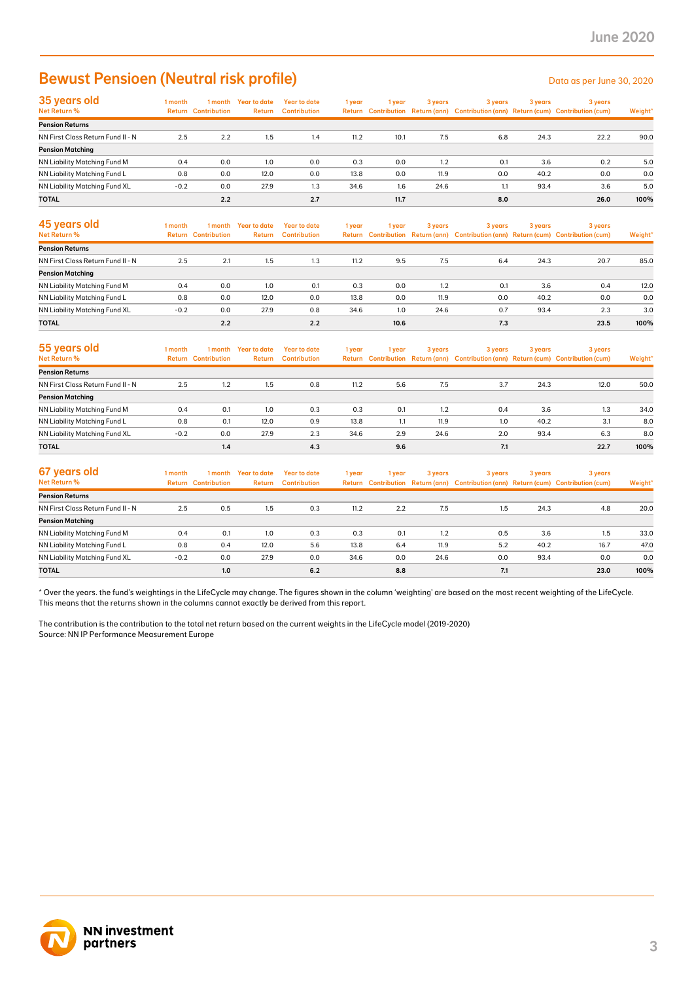### Bewust Pensioen (Neutral risk profile) Data as per June 30, 2020

| 35 years old                      | 1 month |                            | 1 month Year to date | <b>Year to date</b> | 1 year | 1 vear | 3 years | 3 years | 3 years | 3 years                                                                             |         |
|-----------------------------------|---------|----------------------------|----------------------|---------------------|--------|--------|---------|---------|---------|-------------------------------------------------------------------------------------|---------|
| Net Return %                      |         | <b>Return Contribution</b> | <b>Return</b>        | <b>Contribution</b> |        |        |         |         |         | Return Contribution Return (ann) Contribution (ann) Return (cum) Contribution (cum) | Weight* |
| <b>Pension Returns</b>            |         |                            |                      |                     |        |        |         |         |         |                                                                                     |         |
| NN First Class Return Fund II - N | 2.5     | 2.2                        | 1.5                  | 1.4                 | 11.2   | 10.1   | 7.5     | 6.8     | 24.3    | 22.2                                                                                | 90.0    |
| <b>Pension Matching</b>           |         |                            |                      |                     |        |        |         |         |         |                                                                                     |         |
| NN Liability Matching Fund M      | 0.4     | 0.0                        | 1.0                  | 0.0                 | 0.3    | 0.0    | 1.2     | 0.1     | 3.6     | 0.2                                                                                 | 5.0     |
| NN Liability Matching Fund L      | 0.8     | 0.0                        | 12.0                 | 0.0                 | 13.8   | 0.0    | 11.9    | 0.0     | 40.2    | 0.0                                                                                 | 0.0     |
| NN Liability Matching Fund XL     | $-0.2$  | 0.0                        | 27.9                 | 1.3                 | 34.6   | 1.6    | 24.6    | 1.1     | 93.4    | 3.6                                                                                 | 5.0     |
| <b>TOTAL</b>                      |         | 2.2                        |                      | 2.7                 |        | 11.7   |         | 8.0     |         | 26.0                                                                                | 100%    |

| 45 years old<br>Net Return %      | 1 month | 1 month<br><b>Return Contribution</b> | Year to date<br><b>Return</b> | Year to date<br><b>Contribution</b> | 1 year | 1 vear | 3 years | 3 years | 3 years | 3 years<br>Return Contribution Return (ann) Contribution (ann) Return (cum) Contribution (cum) | Weight* |
|-----------------------------------|---------|---------------------------------------|-------------------------------|-------------------------------------|--------|--------|---------|---------|---------|------------------------------------------------------------------------------------------------|---------|
| <b>Pension Returns</b>            |         |                                       |                               |                                     |        |        |         |         |         |                                                                                                |         |
| NN First Class Return Fund II - N | 2.5     | 2.1                                   | 1.5                           | 1.3                                 | 11.2   | 9.5    | 7.5     | 6.4     | 24.3    | 20.7                                                                                           | 85.0    |
| <b>Pension Matching</b>           |         |                                       |                               |                                     |        |        |         |         |         |                                                                                                |         |
| NN Liability Matching Fund M      | 0.4     | 0.0                                   | 1.0                           | 0.1                                 | 0.3    | 0.0    | 1.2     | 0.1     | 3.6     | 0.4                                                                                            | 12.0    |
| NN Liability Matching Fund L      | 0.8     | 0.0                                   | 12.0                          | 0.0                                 | 13.8   | 0.0    | 11.9    | 0.0     | 40.2    | 0.0                                                                                            | 0.0     |
| NN Liability Matching Fund XL     | $-0.2$  | 0.0                                   | 27.9                          | 0.8                                 | 34.6   | 1.0    | 24.6    | 0.7     | 93.4    | 2.3                                                                                            | 3.0     |
| <b>TOTAL</b>                      |         | 2.2                                   |                               | 2.2                                 |        | 10.6   |         | 7.3     |         | 23.5                                                                                           | 100%    |

| 55 years old<br><b>Net Return %</b> | l month | 1 month<br><b>Return Contribution</b> | <b>Year to date</b><br><b>Return</b> | <b>Year to date</b><br><b>Contribution</b> | 1 year | 1 year | 3 years | 3 years | 3 years | 3 years<br>Return Contribution Return (ann) Contribution (ann) Return (cum) Contribution (cum) | Weight* |
|-------------------------------------|---------|---------------------------------------|--------------------------------------|--------------------------------------------|--------|--------|---------|---------|---------|------------------------------------------------------------------------------------------------|---------|
| <b>Pension Returns</b>              |         |                                       |                                      |                                            |        |        |         |         |         |                                                                                                |         |
| NN First Class Return Fund II - N   | 2.5     | 1.2                                   | 1.5                                  | 0.8                                        | 11.2   | 5.6    | 7.5     | 3.7     | 24.3    | 12.0                                                                                           | 50.0    |
| <b>Pension Matching</b>             |         |                                       |                                      |                                            |        |        |         |         |         |                                                                                                |         |
| NN Liability Matching Fund M        | 0.4     | 0.1                                   | 1.0                                  | 0.3                                        | 0.3    | 0.1    | 1.2     | 0.4     | 3.6     | 1.3                                                                                            | 34.0    |
| NN Liability Matching Fund L        | 0.8     | 0.1                                   | 12.0                                 | 0.9                                        | 13.8   | 1.1    | 11.9    | 1.0     | 40.2    | 3.1                                                                                            | 8.0     |
| NN Liability Matching Fund XL       | $-0.2$  | 0.0                                   | 27.9                                 | 2.3                                        | 34.6   | 2.9    | 24.6    | 2.0     | 93.4    | 6.3                                                                                            | 8.0     |
| <b>TOTAL</b>                        |         | 1.4                                   |                                      | 4.3                                        |        | 9.6    |         | 7.1     |         | 22.7                                                                                           | 100%    |

| 67 years old<br>Net Return %      | 1 month | 1 month<br><b>Return Contribution</b> | Year to date<br>Return | Year to date<br><b>Contribution</b> | 1 year | 1 year | 3 years | 3 years | 3 years | 3 years<br>Return Contribution Return (ann) Contribution (ann) Return (cum) Contribution (cum) | Weight* |
|-----------------------------------|---------|---------------------------------------|------------------------|-------------------------------------|--------|--------|---------|---------|---------|------------------------------------------------------------------------------------------------|---------|
| <b>Pension Returns</b>            |         |                                       |                        |                                     |        |        |         |         |         |                                                                                                |         |
| NN First Class Return Fund II - N | 2.5     | 0.5                                   | 1.5                    | 0.3                                 | 11.2   | 2.2    | 7.5     | 1.5     | 24.3    | 4.8                                                                                            | 20.0    |
| <b>Pension Matching</b>           |         |                                       |                        |                                     |        |        |         |         |         |                                                                                                |         |
| NN Liability Matching Fund M      | 0.4     | 0.1                                   | 1.0                    | 0.3                                 | 0.3    | 0.1    | 1.2     | 0.5     | 3.6     | 1.5                                                                                            | 33.0    |
| NN Liability Matching Fund L      | 0.8     | 0.4                                   | 12.0                   | 5.6                                 | 13.8   | 6.4    | 11.9    | 5.2     | 40.2    | 16.7                                                                                           | 47.0    |
| NN Liability Matching Fund XL     | $-0.2$  | 0.0                                   | 27.9                   | 0.0                                 | 34.6   | 0.0    | 24.6    | 0.0     | 93.4    | 0.0                                                                                            | 0.0     |
| <b>TOTAL</b>                      |         | 1.0                                   |                        | 6.2                                 |        | 8.8    |         | 7.1     |         | 23.0                                                                                           | 100%    |

\* Over the years. the fund's weightings in the LifeCycle may change. The figures shown in the column 'weighting' are based on the most recent weighting of the LifeCycle. This means that the returns shown in the columns cannot exactly be derived from this report.

The contribution is the contribution to the total net return based on the current weights in the LifeCycle model (2019-2020) Source: NN IP Performance Measurement Europe